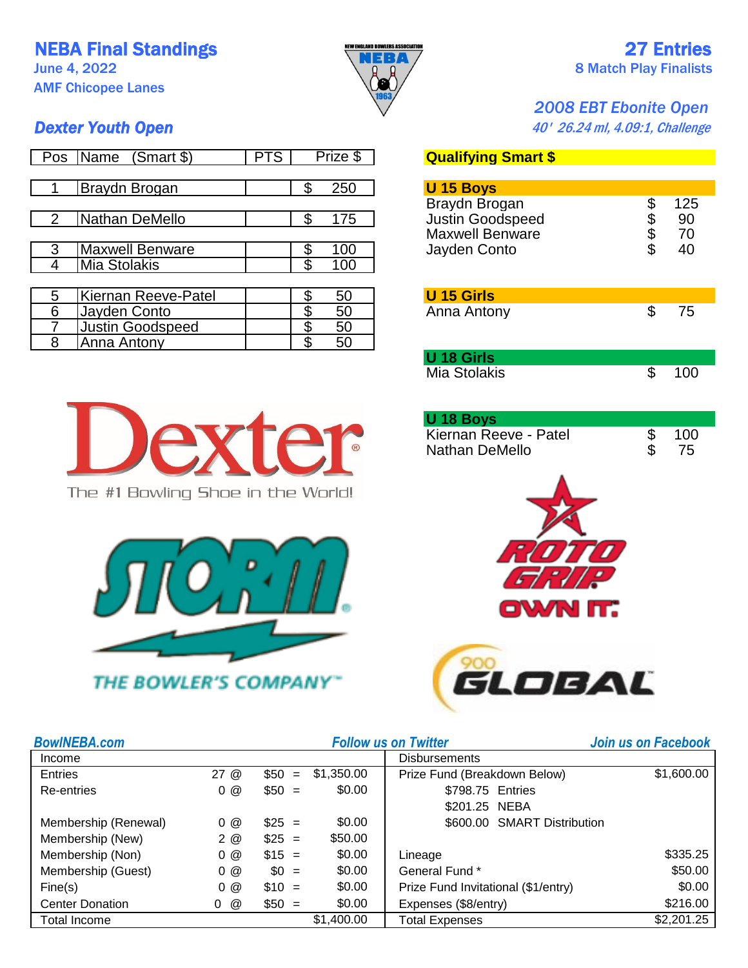NEBA Final Standings **New BRAY NEBA** 27 Entries

AMF Chicopee Lanes



## June 4, 2022  $\begin{pmatrix} 0 & 0 \\ 0 & 0 \end{pmatrix}$  8 Match Play Finalists

## *2008 EBT Ebonite Open*

**Dexter Youth Open Dexter Youth Open 1988 1989 1989 1989 1989 1989 1989 1989 1989 1989 1989 1989 1989 1989 1989 1989 1989 1989 1989 1989 1989 1989 1989 1989 1989 1989**

| Pos | Name<br>(Smart \$)      | <b>PTS</b> |   | Prize \$ | <b>Qualifying Smart \$</b> |           |
|-----|-------------------------|------------|---|----------|----------------------------|-----------|
|     |                         |            |   |          |                            |           |
|     | Braydn Brogan           |            |   | 250      | U 15 Boys                  |           |
|     |                         |            |   |          | Braydn Brogan              | \$<br>125 |
|     | Nathan DeMello          |            |   | 175      | <b>Justin Goodspeed</b>    | \$<br>90  |
|     |                         |            |   |          | <b>Maxwell Benware</b>     | \$<br>70  |
|     | <b>Maxwell Benware</b>  |            |   | 100      | Jayden Conto               | \$<br>40  |
| 4   | Mia Stolakis            |            |   | 100      |                            |           |
|     |                         |            |   |          |                            |           |
| 5   | Kiernan Reeve-Patel     |            |   | 50       | <b>U 15 Girls</b>          |           |
| 6   | Jayden Conto            |            |   | 50       | Anna Antony                | \$<br>75  |
|     | <b>Justin Goodspeed</b> |            | ጥ | 50       |                            |           |
| 8   | Anna Antony             |            |   | 50       |                            |           |

**Qualifying Smart \$** PTS **PTS ANALLE \$ U 15 Boys** Braydn Brogan  $\begin{array}{ccc} 6 & 125 \\ \text{Justin Goodspeed} & \text{$$ 90} \\ \text{Maxwell Benware} & \text{$$ 70} \\ \text{Jauden Conto} & \text{$$ 40} \end{array}$ Justin Goodspeed Maxwell Benware  $$70$ <br>Javden Conto  $$40$ Jayden Conto

| U 15 Girls  |    |
|-------------|----|
| Anna Antony | 75 |

| U 18 Girls   |     |
|--------------|-----|
| Mia Stolakis | 100 |

| U 18 Boys             |     |
|-----------------------|-----|
| Kiernan Reeve - Patel | 100 |
| Nathan DeMello        | 75  |





| <b>BowINEBA.com</b>    |                      |             | <b>Follow us on Twitter</b> | Join us on Facebook                 |            |
|------------------------|----------------------|-------------|-----------------------------|-------------------------------------|------------|
| Income                 | <b>Disbursements</b> |             |                             |                                     |            |
| <b>Entries</b>         | 27@                  | \$50<br>$=$ | \$1,350.00                  | Prize Fund (Breakdown Below)        | \$1,600.00 |
| Re-entries             | 0@                   | $$50 =$     | \$0.00                      | \$798.75 Entries                    |            |
|                        |                      |             |                             | \$201.25 NEBA                       |            |
| Membership (Renewal)   | 0@                   | $$25 =$     | \$0.00                      | \$600.00 SMART Distribution         |            |
| Membership (New)       | 2@                   | $$25 =$     | \$50.00                     |                                     |            |
| Membership (Non)       | 0@                   | $$15 =$     | \$0.00                      | Lineage                             | \$335.25   |
| Membership (Guest)     | 0@                   | $$0 =$      | \$0.00                      | General Fund *                      | \$50.00    |
| Fine(s)                | 0@                   | $$10 =$     | \$0.00                      | Prize Fund Invitational (\$1/entry) | \$0.00     |
| <b>Center Donation</b> | @<br>0               | $$50 =$     | \$0.00                      | Expenses (\$8/entry)                | \$216.00   |
| Total Income           |                      |             | \$1,400.00                  | <b>Total Expenses</b>               | \$2,201.25 |



The #1 Bowling Shoe in the World!

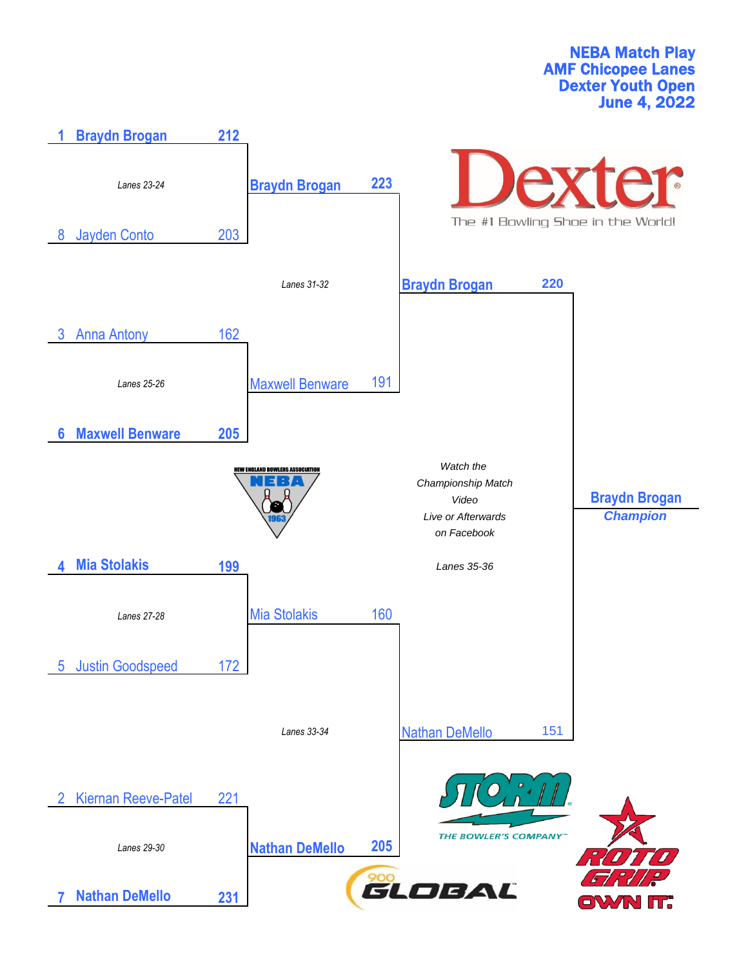NEBA Match Play AMF Chicopee Lanes Dexter Youth Open June 4, 2022